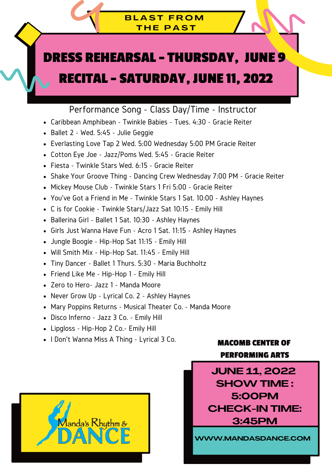# **DRESS REHEARSAL - THURSDAY, JUNE 9**

### **RECITAL - SATURDAY, JUNE 11, 2022**

#### Performance Song - Class Day/Time - Instructor

- Caribbean Amphibean Twinkle Babies Tues. 4:30 Gracie Reiter
- Ballet 2 Wed. 5:45 Julie Geggie
- Everlasting Love Tap 2 Wed. 5:00 Wednesday 5:00 PM Gracie Reiter
- Cotton Eye Joe Jazz/Poms Wed. 5:45 Gracie Reiter
- Fiesta Twinkle Stars Wed. 6:15 Gracie Reiter
- Shake Your Groove Thing Dancing Crew Wednesday 7:00 PM Gracie Reiter
- Mickey Mouse Club Twinkle Stars 1 Fri 5:00 Gracie Reiter
- You've Got a Friend in Me Twinkle Stars 1 Sat. 10:00 Ashley Haynes
- C is for Cookie Twinkle Stars/Jazz Sat 10:15 Emily Hill
- Ballerina Girl Ballet 1 Sat. 10:30 Ashley Haynes
- Girls Just Wanna Have Fun Acro 1 Sat. 11:15 Ashley Haynes
- Jungle Boogie Hip-Hop Sat 11:15 Emily Hill
- Will Smith Mix Hip-Hop Sat. 11:45 Emily Hill
- Tiny Dancer Ballet 1 Thurs. 5:30 Maria Buchholtz
- Friend Like Me Hip-Hop 1 Emily Hill
- Zero to Hero- Jazz 1 Manda Moore
- Never Grow Up Lyrical Co. 2 Ashley Haynes
- Mary Poppins Returns Musical Theater Co. Manda Moore
- Disco Inferno Jazz 3 Co. Emily Hill
- Lipgloss Hip-Hop 2 Co.- Emily Hill
- I Don't Wanna Miss A Thing Lyrical 3 Co.



**MACOMB CENTER OF PERFORMING ARTS**



**WWW.MANDASDANCE.COM**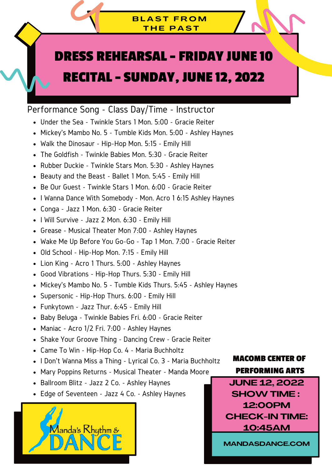## **DRESS REHEARSAL - FRIDAY JUNE 10**

### **RECITAL - SUNDAY, JUNE 12, 2022**

#### Performance Song - Class Day/Time - Instructor

- Under the Sea Twinkle Stars 1 Mon. 5:00 Gracie Reiter
- Mickey's Mambo No. 5 Tumble Kids Mon. 5:00 Ashley Haynes
- Walk the Dinosaur Hip-Hop Mon. 5:15 Emily Hill
- The Goldfish Twinkle Babies Mon. 5:30 Gracie Reiter
- Rubber Duckie Twinkle Stars Mon. 5:30 Ashley Haynes
- Beauty and the Beast Ballet 1 Mon. 5:45 Emily Hill
- Be Our Guest Twinkle Stars 1 Mon. 6:00 Gracie Reiter
- I Wanna Dance With Somebody Mon. Acro 1 6:15 Ashley Haynes
- Conga Jazz 1 Mon. 6:30 Gracie Reiter
- I Will Survive Jazz 2 Mon. 6:30 Emily Hill
- Grease Musical Theater Mon 7:00 Ashley Haynes
- Wake Me Up Before You Go-Go Tap 1 Mon. 7:00 Gracie Reiter
- Old School Hip-Hop Mon. 7:15 Emily Hill
- Lion King Acro 1 Thurs. 5:00 Ashley Haynes
- Good Vibrations Hip-Hop Thurs. 5:30 Emily Hill
- Mickey's Mambo No. 5 Tumble Kids Thurs. 5:45 Ashley Haynes
- Supersonic Hip-Hop Thurs. 6:00 Emily Hill
- Funkytown Jazz Thur. 6:45 Emily Hill
- Baby Beluga Twinkle Babies Fri. 6:00 Gracie Reiter
- Maniac Acro 1/2 Fri. 7:00 Ashley Haynes
- Shake Your Groove Thing Dancing Crew Gracie Reiter
- Came To Win Hip-Hop Co. 4 Maria Buchholtz
- I Don't Wanna Miss a Thing Lyrical Co. 3 Maria Buchholtz
- Mary Poppins Returns Musical Theater Manda Moore
- Ballroom Blitz Jazz 2 Co. Ashley Haynes

Manda's Rhuthm &

Edge of Seventeen - Jazz 4 Co. - Ashley Haynes



**JUNE 12, 2022 SHOW TIME : 12:00PM CHECK-IN TIME: 10:45AM**

#### **MANDASDANCE.COM**